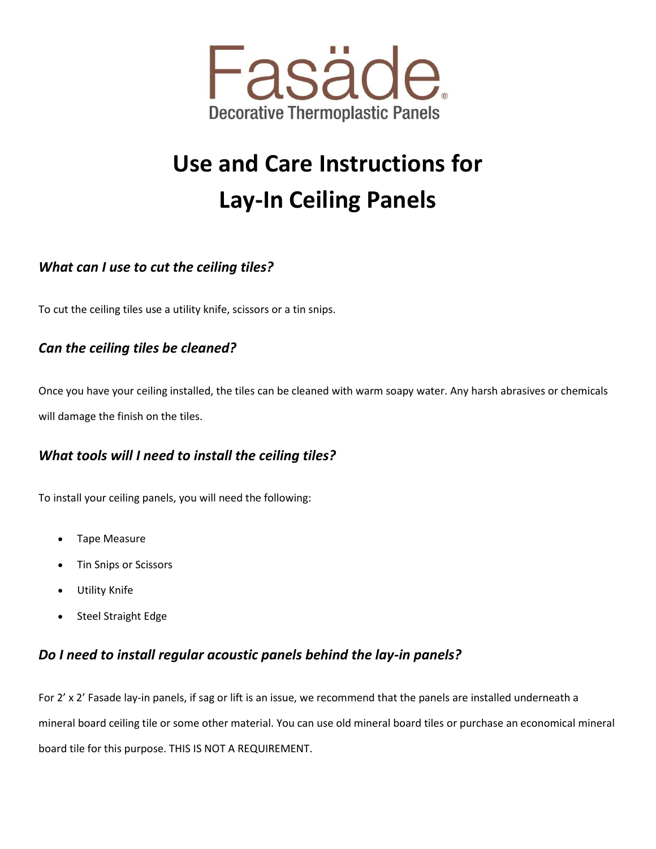

# **Use and Care Instructions for Lay-In Ceiling Panels**

## *What can I use to cut the ceiling tiles?*

To cut the ceiling tiles use a utility knife, scissors or a tin snips.

#### *Can the ceiling tiles be cleaned?*

Once you have your ceiling installed, the tiles can be cleaned with warm soapy water. Any harsh abrasives or chemicals will damage the finish on the tiles.

## *What tools will I need to install the ceiling tiles?*

To install your ceiling panels, you will need the following:

- Tape Measure
- Tin Snips or Scissors
- Utility Knife
- Steel Straight Edge

#### *Do I need to install regular acoustic panels behind the lay-in panels?*

For 2' x 2' Fasade lay-in panels, if sag or lift is an issue, we recommend that the panels are installed underneath a mineral board ceiling tile or some other material. You can use old mineral board tiles or purchase an economical mineral board tile for this purpose. THIS IS NOT A REQUIREMENT.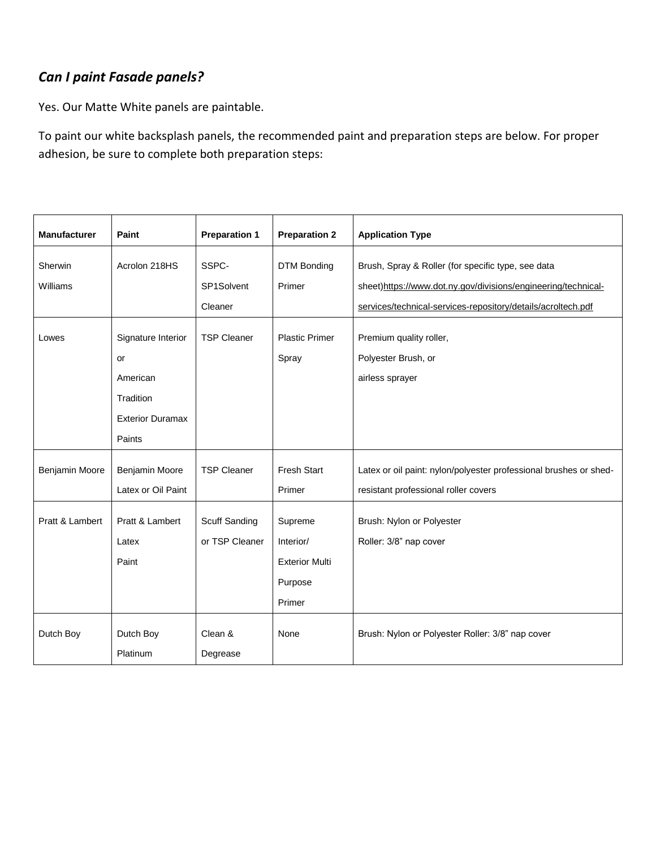# *Can I paint Fasade panels?*

Yes. Our Matte White panels are paintable.

To paint our white backsplash panels, the recommended paint and preparation steps are below. For proper adhesion, be sure to complete both preparation steps:

| <b>Manufacturer</b> | Paint                   | <b>Preparation 1</b> | <b>Preparation 2</b>         | <b>Application Type</b>                                                                                             |
|---------------------|-------------------------|----------------------|------------------------------|---------------------------------------------------------------------------------------------------------------------|
| Sherwin<br>Williams | Acrolon 218HS           | SSPC-<br>SP1Solvent  | <b>DTM Bonding</b><br>Primer | Brush, Spray & Roller (for specific type, see data<br>sheet)https://www.dot.ny.gov/divisions/engineering/technical- |
|                     |                         | Cleaner              |                              | services/technical-services-repository/details/acroltech.pdf                                                        |
| Lowes               | Signature Interior      | <b>TSP Cleaner</b>   | <b>Plastic Primer</b>        | Premium quality roller,                                                                                             |
|                     | or                      |                      | Spray                        | Polyester Brush, or                                                                                                 |
|                     | American                |                      |                              | airless sprayer                                                                                                     |
|                     | Tradition               |                      |                              |                                                                                                                     |
|                     | <b>Exterior Duramax</b> |                      |                              |                                                                                                                     |
|                     | Paints                  |                      |                              |                                                                                                                     |
| Benjamin Moore      | Benjamin Moore          | <b>TSP Cleaner</b>   | <b>Fresh Start</b>           | Latex or oil paint: nylon/polyester professional brushes or shed-                                                   |
|                     | Latex or Oil Paint      |                      | Primer                       | resistant professional roller covers                                                                                |
| Pratt & Lambert     | Pratt & Lambert         | Scuff Sanding        | Supreme                      | Brush: Nylon or Polyester                                                                                           |
|                     | Latex                   | or TSP Cleaner       | Interior/                    | Roller: 3/8" nap cover                                                                                              |
|                     | Paint                   |                      | <b>Exterior Multi</b>        |                                                                                                                     |
|                     |                         |                      | Purpose                      |                                                                                                                     |
|                     |                         |                      | Primer                       |                                                                                                                     |
| Dutch Boy           | Dutch Boy               | Clean &              | None                         | Brush: Nylon or Polyester Roller: 3/8" nap cover                                                                    |
|                     | Platinum                | Degrease             |                              |                                                                                                                     |